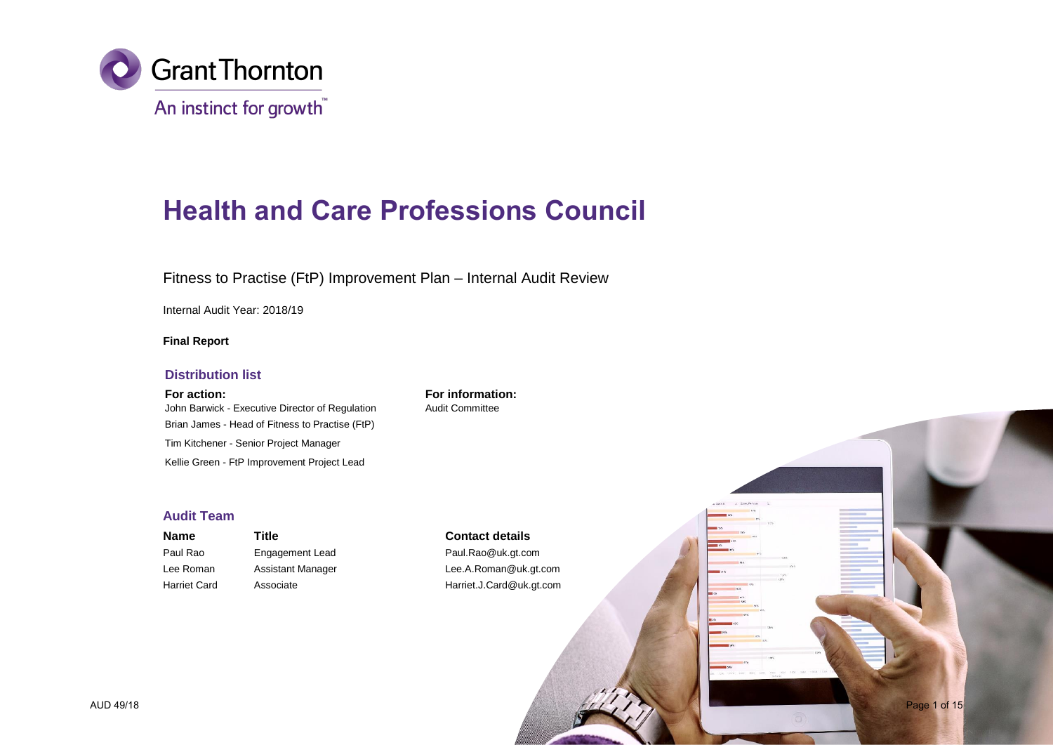

# **Health and Care Professions Council**

Fitness to Practise (FtP) Improvement Plan – Internal Audit Review

Internal Audit Year: 2018/19

## **Final Report**

### **Distribution list**

John Barwick - Executive Director of Regulation Audit Committee Brian James - Head of Fitness to Practise (FtP) Tim Kitchener - Senior Project Manager Kellie Green - FtP Improvement Project Lead

**For action: For information:**

## **Audit Team**

**Name Title Title Contact details** Paul Rao Engagement Lead Paul.Rao@uk.gt.com Lee Roman Assistant Manager **Lee.A.Roman@uk.gt.com** Harriet Card Associate Harriet.J.Card@uk.gt.com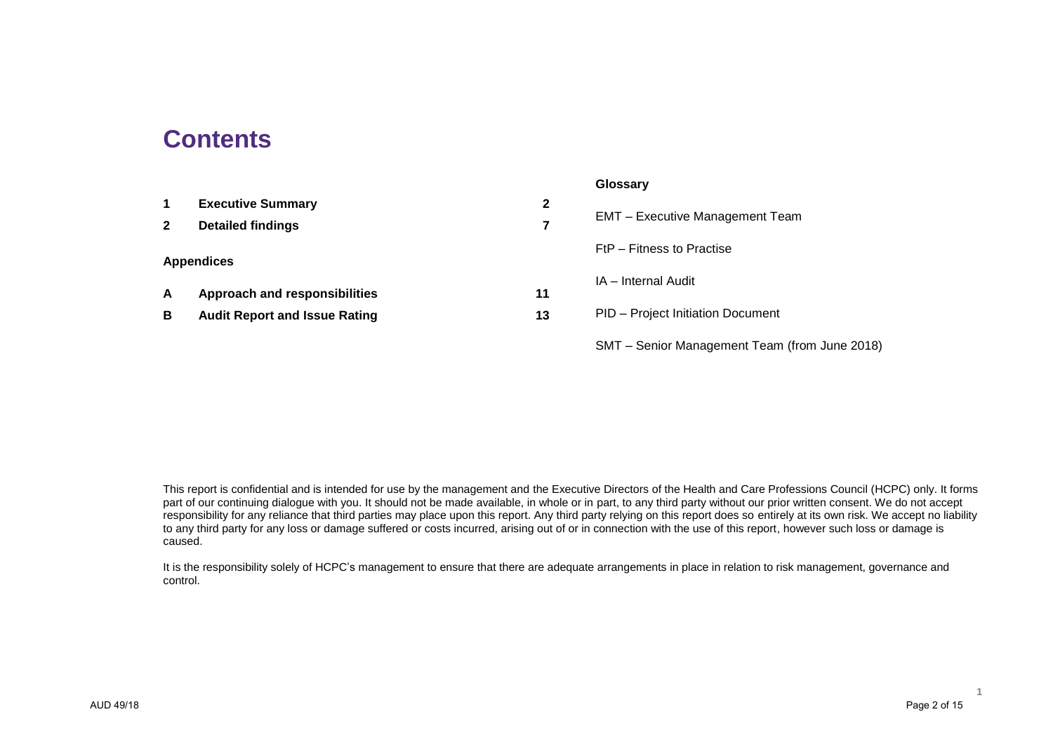## **Contents**

|              |                                      |              | Glossary                                      |
|--------------|--------------------------------------|--------------|-----------------------------------------------|
| $\mathbf 1$  | <b>Executive Summary</b>             | $\mathbf{2}$ |                                               |
| $\mathbf{2}$ | <b>Detailed findings</b>             | 7            | <b>EMT</b> – Executive Management Team        |
|              |                                      |              | FtP – Fitness to Practise                     |
|              | <b>Appendices</b>                    |              |                                               |
| A            | Approach and responsibilities        | 11           | IA - Internal Audit                           |
| B            | <b>Audit Report and Issue Rating</b> | 13           | PID - Project Initiation Document             |
|              |                                      |              | SMT – Senior Management Team (from June 2018) |

This report is confidential and is intended for use by the management and the Executive Directors of the Health and Care Professions Council (HCPC) only. It forms part of our continuing dialogue with you. It should not be made available, in whole or in part, to any third party without our prior written consent. We do not accept responsibility for any reliance that third parties may place upon this report. Any third party relying on this report does so entirely at its own risk. We accept no liability to any third party for any loss or damage suffered or costs incurred, arising out of or in connection with the use of this report, however such loss or damage is caused.

It is the responsibility solely of HCPC's management to ensure that there are adequate arrangements in place in relation to risk management, governance and control.

**1**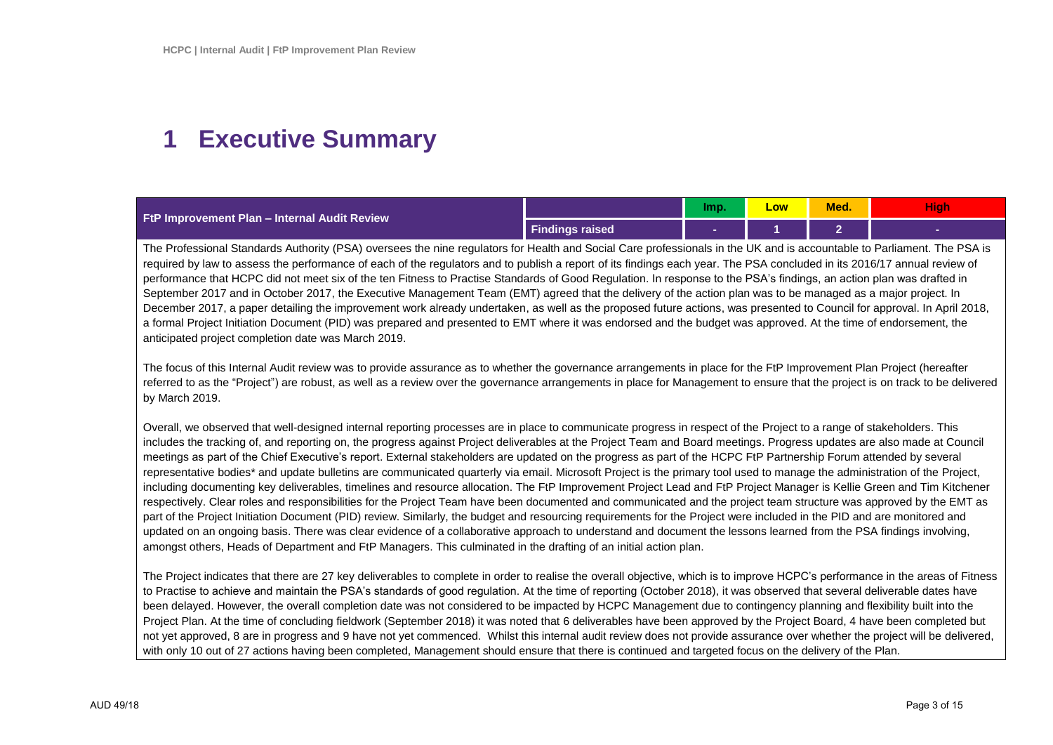## **1 Executive Summary**

| <b>FtP Improvement Plan - Internal Audit Review</b> |                 | lmp. | Low | Med. | r yn |
|-----------------------------------------------------|-----------------|------|-----|------|------|
|                                                     | Findings raised |      |     |      |      |

The Professional Standards Authority (PSA) oversees the nine regulators for Health and Social Care professionals in the UK and is accountable to Parliament. The PSA is required by law to assess the performance of each of the regulators and to publish a report of its findings each year. The PSA concluded in its 2016/17 annual review of performance that HCPC did not meet six of the ten Fitness to Practise Standards of Good Regulation. In response to the PSA's findings, an action plan was drafted in September 2017 and in October 2017, the Executive Management Team (EMT) agreed that the delivery of the action plan was to be managed as a major project. In December 2017, a paper detailing the improvement work already undertaken, as well as the proposed future actions, was presented to Council for approval. In April 2018, a formal Project Initiation Document (PID) was prepared and presented to EMT where it was endorsed and the budget was approved. At the time of endorsement, the anticipated project completion date was March 2019.

The focus of this Internal Audit review was to provide assurance as to whether the governance arrangements in place for the FtP Improvement Plan Project (hereafter referred to as the "Project") are robust, as well as a review over the governance arrangements in place for Management to ensure that the project is on track to be delivered by March 2019.

Overall, we observed that well-designed internal reporting processes are in place to communicate progress in respect of the Project to a range of stakeholders. This includes the tracking of, and reporting on, the progress against Project deliverables at the Project Team and Board meetings. Progress updates are also made at Council meetings as part of the Chief Executive's report. External stakeholders are updated on the progress as part of the HCPC FtP Partnership Forum attended by several representative bodies\* and update bulletins are communicated quarterly via email. Microsoft Project is the primary tool used to manage the administration of the Project, including documenting key deliverables, timelines and resource allocation. The FtP Improvement Project Lead and FtP Project Manager is Kellie Green and Tim Kitchener respectively. Clear roles and responsibilities for the Project Team have been documented and communicated and the project team structure was approved by the EMT as part of the Project Initiation Document (PID) review. Similarly, the budget and resourcing requirements for the Project were included in the PID and are monitored and updated on an ongoing basis. There was clear evidence of a collaborative approach to understand and document the lessons learned from the PSA findings involving, amongst others, Heads of Department and FtP Managers. This culminated in the drafting of an initial action plan.

The Project indicates that there are 27 key deliverables to complete in order to realise the overall objective, which is to improve HCPC's performance in the areas of Fitness to Practise to achieve and maintain the PSA's standards of good regulation. At the time of reporting (October 2018), it was observed that several deliverable dates have been delayed. However, the overall completion date was not considered to be impacted by HCPC Management due to contingency planning and flexibility built into the Project Plan. At the time of concluding fieldwork (September 2018) it was noted that 6 deliverables have been approved by the Project Board, 4 have been completed but not yet approved, 8 are in progress and 9 have not yet commenced. Whilst this internal audit review does not provide assurance over whether the project will be delivered, with only 10 out of 27 actions having been completed, Management should ensure that there is continued and targeted focus on the delivery of the Plan.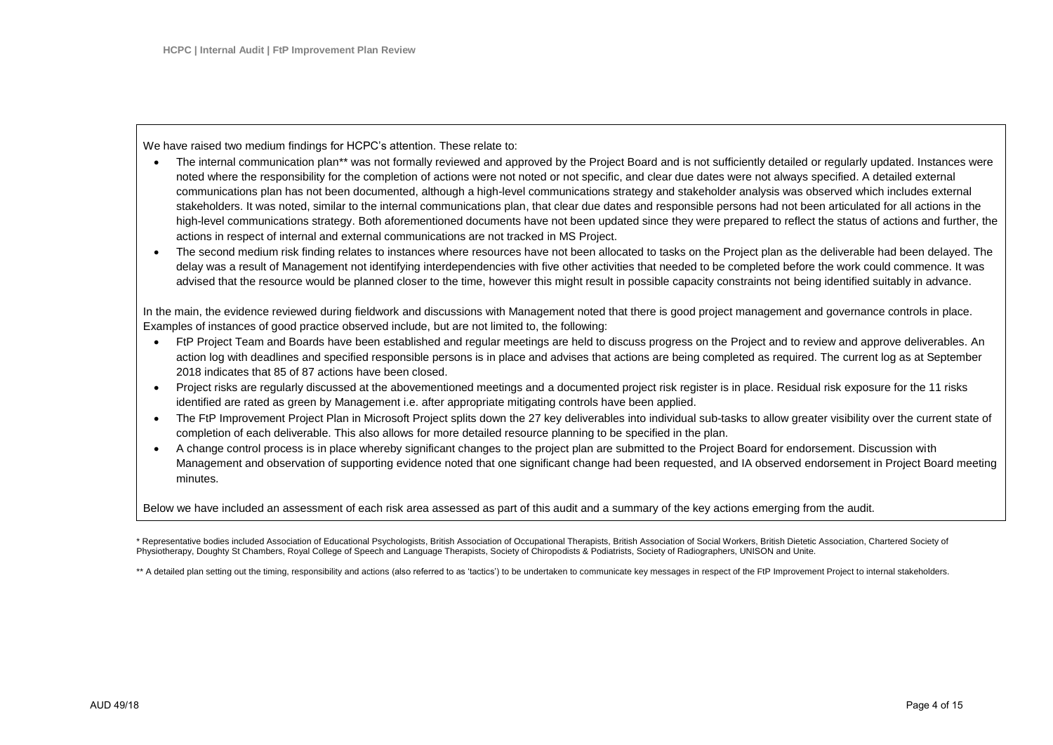We have raised two medium findings for HCPC's attention. These relate to:

- The internal communication plan\*\* was not formally reviewed and approved by the Project Board and is not sufficiently detailed or regularly updated. Instances were noted where the responsibility for the completion of actions were not noted or not specific, and clear due dates were not always specified. A detailed external communications plan has not been documented, although a high-level communications strategy and stakeholder analysis was observed which includes external stakeholders. It was noted, similar to the internal communications plan, that clear due dates and responsible persons had not been articulated for all actions in the high-level communications strategy. Both aforementioned documents have not been updated since they were prepared to reflect the status of actions and further, the actions in respect of internal and external communications are not tracked in MS Project.
- The second medium risk finding relates to instances where resources have not been allocated to tasks on the Project plan as the deliverable had been delayed. The delay was a result of Management not identifying interdependencies with five other activities that needed to be completed before the work could commence. It was advised that the resource would be planned closer to the time, however this might result in possible capacity constraints not being identified suitably in advance.

In the main, the evidence reviewed during fieldwork and discussions with Management noted that there is good project management and governance controls in place. Examples of instances of good practice observed include, but are not limited to, the following:

- FtP Project Team and Boards have been established and regular meetings are held to discuss progress on the Project and to review and approve deliverables. An action log with deadlines and specified responsible persons is in place and advises that actions are being completed as required. The current log as at September 2018 indicates that 85 of 87 actions have been closed.
- Project risks are regularly discussed at the abovementioned meetings and a documented project risk register is in place. Residual risk exposure for the 11 risks identified are rated as green by Management i.e. after appropriate mitigating controls have been applied.
- The FtP Improvement Project Plan in Microsoft Project splits down the 27 key deliverables into individual sub-tasks to allow greater visibility over the current state of completion of each deliverable. This also allows for more detailed resource planning to be specified in the plan.
- A change control process is in place whereby significant changes to the project plan are submitted to the Project Board for endorsement. Discussion with Management and observation of supporting evidence noted that one significant change had been requested, and IA observed endorsement in Project Board meeting minutes.

Below we have included an assessment of each risk area assessed as part of this audit and a summary of the key actions emerging from the audit.

\* Representative bodies included Association of Educational Psychologists, British Association of Occupational Therapists, British Association of Social Workers, British Dietetic Association, Chartered Society of Physiotherapy, Doughty St Chambers, Royal College of Speech and Language Therapists, Society of Chiropodists & Podiatrists, Society of Radiographers, UNISON and Unite.

\*\* A detailed plan setting out the timing, responsibility and actions (also referred to as 'tactics') to be undertaken to communicate key messages in respect of the FtP Improvement Project to internal stakeholders.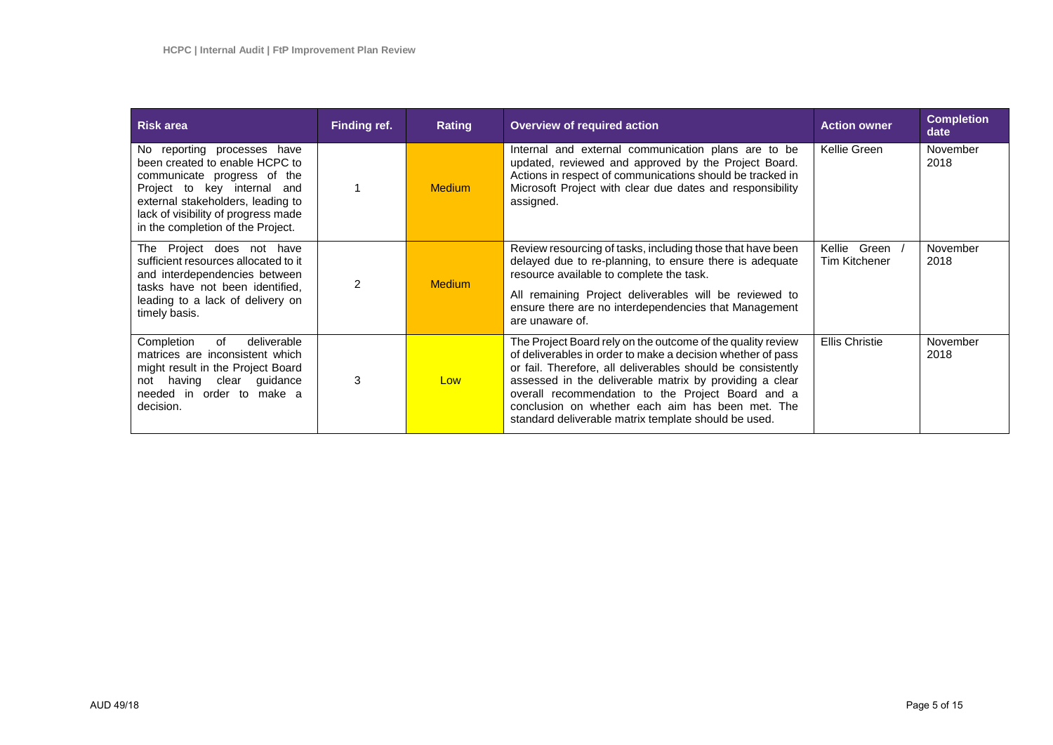| <b>Risk area</b>                                                                                                                                                                                                                             | Finding ref. | Rating        | Overview of required action                                                                                                                                                                                                                                                                                                                                                                                           | <b>Action owner</b>                     | <b>Completion</b><br>date |
|----------------------------------------------------------------------------------------------------------------------------------------------------------------------------------------------------------------------------------------------|--------------|---------------|-----------------------------------------------------------------------------------------------------------------------------------------------------------------------------------------------------------------------------------------------------------------------------------------------------------------------------------------------------------------------------------------------------------------------|-----------------------------------------|---------------------------|
| No reporting processes have<br>been created to enable HCPC to<br>communicate progress of the<br>Project to key internal and<br>external stakeholders, leading to<br>lack of visibility of progress made<br>in the completion of the Project. |              | <b>Medium</b> | Internal and external communication plans are to be<br>updated, reviewed and approved by the Project Board.<br>Actions in respect of communications should be tracked in<br>Microsoft Project with clear due dates and responsibility<br>assigned.                                                                                                                                                                    | Kellie Green                            | November<br>2018          |
| Project does not have<br>The<br>sufficient resources allocated to it<br>and interdependencies between<br>tasks have not been identified,<br>leading to a lack of delivery on<br>timely basis.                                                | 2            | <b>Medium</b> | Review resourcing of tasks, including those that have been<br>delayed due to re-planning, to ensure there is adequate<br>resource available to complete the task.<br>All remaining Project deliverables will be reviewed to<br>ensure there are no interdependencies that Management<br>are unaware of.                                                                                                               | Kellie<br>Green<br><b>Tim Kitchener</b> | November<br>2018          |
| of<br>Completion<br>deliverable<br>matrices are inconsistent which<br>might result in the Project Board<br>not having clear guidance<br>needed in order to make a<br>decision.                                                               | 3            | Low           | The Project Board rely on the outcome of the quality review<br>of deliverables in order to make a decision whether of pass<br>or fail. Therefore, all deliverables should be consistently<br>assessed in the deliverable matrix by providing a clear<br>overall recommendation to the Project Board and a<br>conclusion on whether each aim has been met. The<br>standard deliverable matrix template should be used. | <b>Ellis Christie</b>                   | November<br>2018          |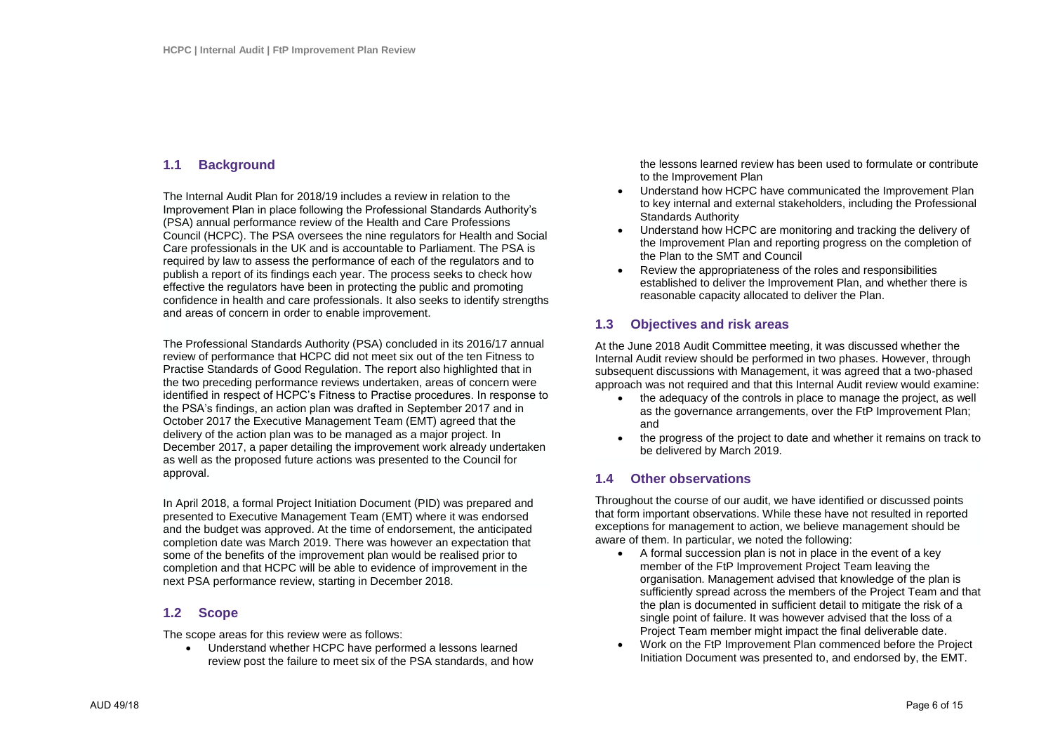## **1.1 Background**

The Internal Audit Plan for 2018/19 includes a review in relation to the Improvement Plan in place following the Professional Standards Authority's (PSA) annual performance review of the Health and Care Professions Council (HCPC). The PSA oversees the nine regulators for Health and Social Care professionals in the UK and is accountable to Parliament. The PSA is required by law to assess the performance of each of the regulators and to publish a report of its findings each year. The process seeks to check how effective the regulators have been in protecting the public and promoting confidence in health and care professionals. It also seeks to identify strengths and areas of concern in order to enable improvement.

The Professional Standards Authority (PSA) concluded in its 2016/17 annual review of performance that HCPC did not meet six out of the ten Fitness to Practise Standards of Good Regulation. The report also highlighted that in the two preceding performance reviews undertaken, areas of concern were identified in respect of HCPC's Fitness to Practise procedures. In response to the PSA's findings, an action plan was drafted in September 2017 and in October 2017 the Executive Management Team (EMT) agreed that the delivery of the action plan was to be managed as a major project. In December 2017, a paper detailing the improvement work already undertaken as well as the proposed future actions was presented to the Council for approval.

In April 2018, a formal Project Initiation Document (PID) was prepared and presented to Executive Management Team (EMT) where it was endorsed and the budget was approved. At the time of endorsement, the anticipated completion date was March 2019. There was however an expectation that some of the benefits of the improvement plan would be realised prior to completion and that HCPC will be able to evidence of improvement in the next PSA performance review, starting in December 2018.

## **1.2 Scope**

The scope areas for this review were as follows:

 Understand whether HCPC have performed a lessons learned review post the failure to meet six of the PSA standards, and how the lessons learned review has been used to formulate or contribute to the Improvement Plan

- Understand how HCPC have communicated the Improvement Plan to key internal and external stakeholders, including the Professional Standards Authority
- Understand how HCPC are monitoring and tracking the delivery of the Improvement Plan and reporting progress on the completion of the Plan to the SMT and Council
- Review the appropriateness of the roles and responsibilities established to deliver the Improvement Plan, and whether there is reasonable capacity allocated to deliver the Plan.

## **1.3 Objectives and risk areas**

At the June 2018 Audit Committee meeting, it was discussed whether the Internal Audit review should be performed in two phases. However, through subsequent discussions with Management, it was agreed that a two-phased approach was not required and that this Internal Audit review would examine:

- the adequacy of the controls in place to manage the project, as well as the governance arrangements, over the FtP Improvement Plan; and
- the progress of the project to date and whether it remains on track to be delivered by March 2019.

## **1.4 Other observations**

Throughout the course of our audit, we have identified or discussed points that form important observations. While these have not resulted in reported exceptions for management to action, we believe management should be aware of them. In particular, we noted the following:

- A formal succession plan is not in place in the event of a key member of the FtP Improvement Project Team leaving the organisation. Management advised that knowledge of the plan is sufficiently spread across the members of the Project Team and that the plan is documented in sufficient detail to mitigate the risk of a single point of failure. It was however advised that the loss of a Project Team member might impact the final deliverable date.
- Work on the FtP Improvement Plan commenced before the Project Initiation Document was presented to, and endorsed by, the EMT.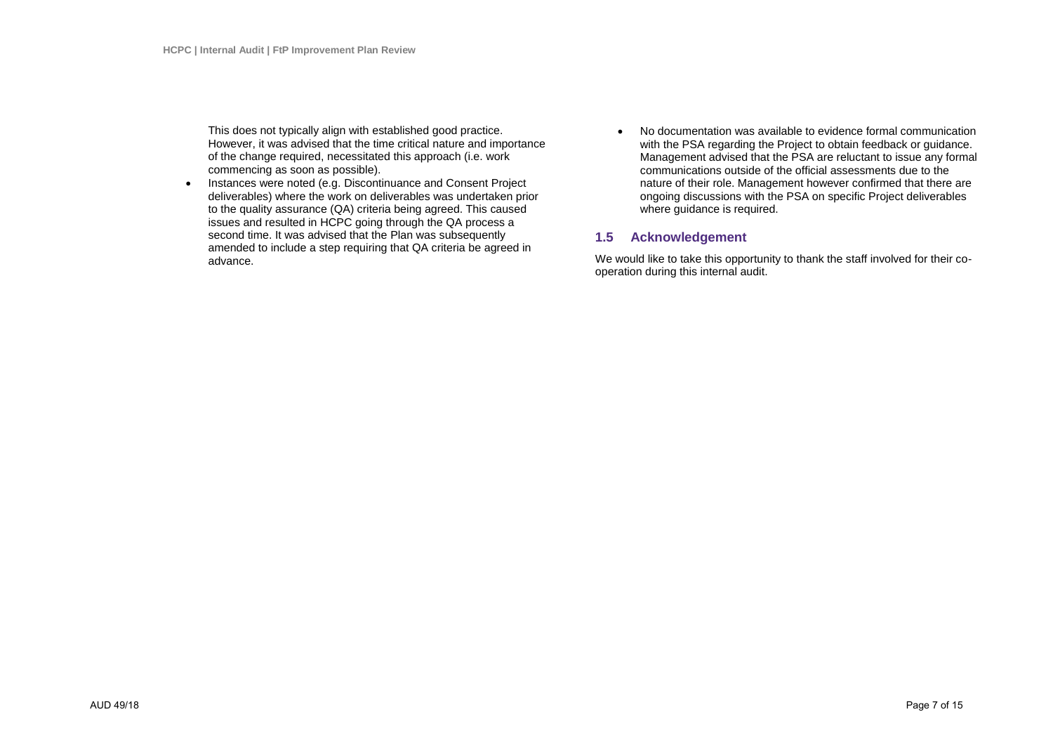This does not typically align with established good practice. However, it was advised that the time critical nature and importance of the change required, necessitated this approach (i.e. work commencing as soon as possible).

- Instances were noted (e.g. Discontinuance and Consent Project deliverables) where the work on deliverables was undertaken prior to the quality assurance (QA) criteria being agreed. This caused issues and resulted in HCPC going through the QA process a second time. It was advised that the Plan was subsequently amended to include a step requiring that QA criteria be agreed in advance.
- No documentation was available to evidence formal communication with the PSA regarding the Project to obtain feedback or guidance. Management advised that the PSA are reluctant to issue any formal communications outside of the official assessments due to the nature of their role. Management however confirmed that there are ongoing discussions with the PSA on specific Project deliverables where quidance is required.

## **1.5 Acknowledgement**

We would like to take this opportunity to thank the staff involved for their cooperation during this internal audit.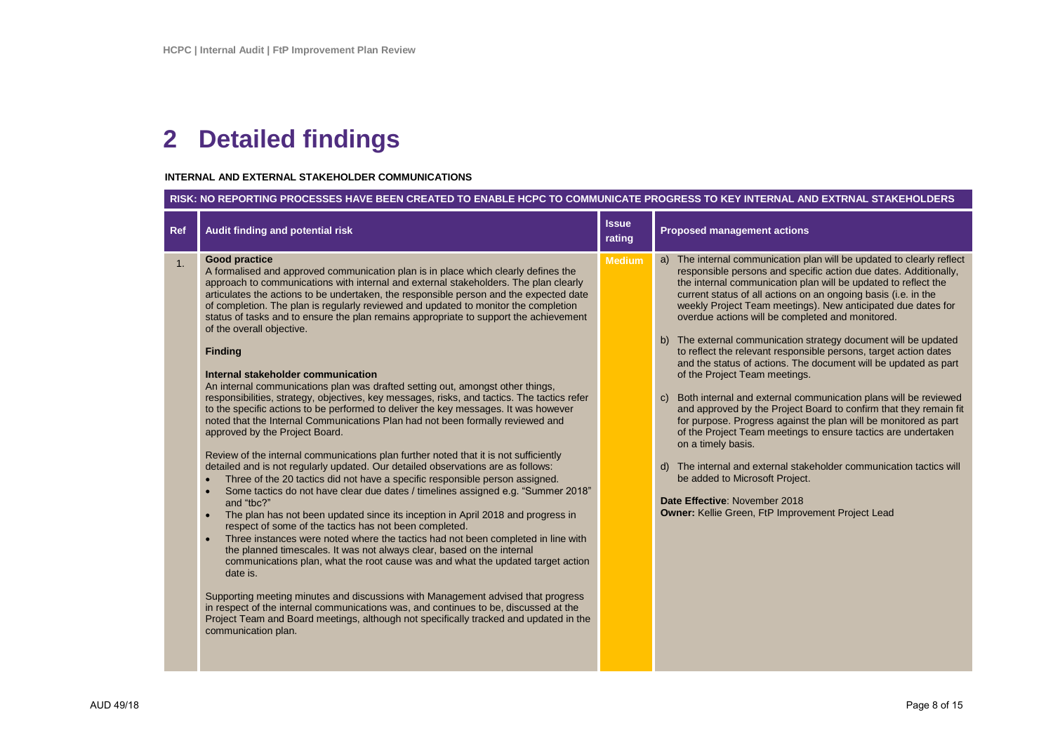## **2 Detailed findings**

r.

### **INTERNAL AND EXTERNAL STAKEHOLDER COMMUNICATIONS**

|     | RISK: NO REPORTING PROCESSES HAVE BEEN CREATED TO ENABLE HCPC TO COMMUNICATE PROGRESS TO KEY INTERNAL AND EXTRNAL STAKEHOLDERS                                                                                                                                                                                                                                                                                                                                                                                                                                                                                                                                                                                                                                                                                                                                                                                                                                                                                                                                                                                                                                                                                                                                                                                                                                                                                                                                                                                                                                                                                                                                                                                                                                                                                                                                                                                                                                                                                                                                                        |                        |                                                                                                                                                                                                                                                                                                                                                                                                                                                                                                                                                                                                                                                                                                                                                                                                                                                                                                                                                                                                                                                                                                                                                          |  |  |
|-----|---------------------------------------------------------------------------------------------------------------------------------------------------------------------------------------------------------------------------------------------------------------------------------------------------------------------------------------------------------------------------------------------------------------------------------------------------------------------------------------------------------------------------------------------------------------------------------------------------------------------------------------------------------------------------------------------------------------------------------------------------------------------------------------------------------------------------------------------------------------------------------------------------------------------------------------------------------------------------------------------------------------------------------------------------------------------------------------------------------------------------------------------------------------------------------------------------------------------------------------------------------------------------------------------------------------------------------------------------------------------------------------------------------------------------------------------------------------------------------------------------------------------------------------------------------------------------------------------------------------------------------------------------------------------------------------------------------------------------------------------------------------------------------------------------------------------------------------------------------------------------------------------------------------------------------------------------------------------------------------------------------------------------------------------------------------------------------------|------------------------|----------------------------------------------------------------------------------------------------------------------------------------------------------------------------------------------------------------------------------------------------------------------------------------------------------------------------------------------------------------------------------------------------------------------------------------------------------------------------------------------------------------------------------------------------------------------------------------------------------------------------------------------------------------------------------------------------------------------------------------------------------------------------------------------------------------------------------------------------------------------------------------------------------------------------------------------------------------------------------------------------------------------------------------------------------------------------------------------------------------------------------------------------------|--|--|
| Ref | Audit finding and potential risk                                                                                                                                                                                                                                                                                                                                                                                                                                                                                                                                                                                                                                                                                                                                                                                                                                                                                                                                                                                                                                                                                                                                                                                                                                                                                                                                                                                                                                                                                                                                                                                                                                                                                                                                                                                                                                                                                                                                                                                                                                                      | <b>Issue</b><br>rating | <b>Proposed management actions</b>                                                                                                                                                                                                                                                                                                                                                                                                                                                                                                                                                                                                                                                                                                                                                                                                                                                                                                                                                                                                                                                                                                                       |  |  |
| 1.  | <b>Good practice</b><br>A formalised and approved communication plan is in place which clearly defines the<br>approach to communications with internal and external stakeholders. The plan clearly<br>articulates the actions to be undertaken, the responsible person and the expected date<br>of completion. The plan is regularly reviewed and updated to monitor the completion<br>status of tasks and to ensure the plan remains appropriate to support the achievement<br>of the overall objective.<br><b>Finding</b><br>Internal stakeholder communication<br>An internal communications plan was drafted setting out, amongst other things,<br>responsibilities, strategy, objectives, key messages, risks, and tactics. The tactics refer<br>to the specific actions to be performed to deliver the key messages. It was however<br>noted that the Internal Communications Plan had not been formally reviewed and<br>approved by the Project Board.<br>Review of the internal communications plan further noted that it is not sufficiently<br>detailed and is not regularly updated. Our detailed observations are as follows:<br>Three of the 20 tactics did not have a specific responsible person assigned.<br>$\bullet$<br>Some tactics do not have clear due dates / timelines assigned e.g. "Summer 2018"<br>$\bullet$<br>and "tbc?"<br>The plan has not been updated since its inception in April 2018 and progress in<br>$\bullet$<br>respect of some of the tactics has not been completed.<br>Three instances were noted where the tactics had not been completed in line with<br>$\bullet$<br>the planned timescales. It was not always clear, based on the internal<br>communications plan, what the root cause was and what the updated target action<br>date is.<br>Supporting meeting minutes and discussions with Management advised that progress<br>in respect of the internal communications was, and continues to be, discussed at the<br>Project Team and Board meetings, although not specifically tracked and updated in the<br>communication plan. | <b>Medium</b>          | a) The internal communication plan will be updated to clearly reflect<br>responsible persons and specific action due dates. Additionally,<br>the internal communication plan will be updated to reflect the<br>current status of all actions on an ongoing basis (i.e. in the<br>weekly Project Team meetings). New anticipated due dates for<br>overdue actions will be completed and monitored.<br>b) The external communication strategy document will be updated<br>to reflect the relevant responsible persons, target action dates<br>and the status of actions. The document will be updated as part<br>of the Project Team meetings.<br>c) Both internal and external communication plans will be reviewed<br>and approved by the Project Board to confirm that they remain fit<br>for purpose. Progress against the plan will be monitored as part<br>of the Project Team meetings to ensure tactics are undertaken<br>on a timely basis.<br>d) The internal and external stakeholder communication tactics will<br>be added to Microsoft Project.<br>Date Effective: November 2018<br><b>Owner: Kellie Green, FtP Improvement Project Lead</b> |  |  |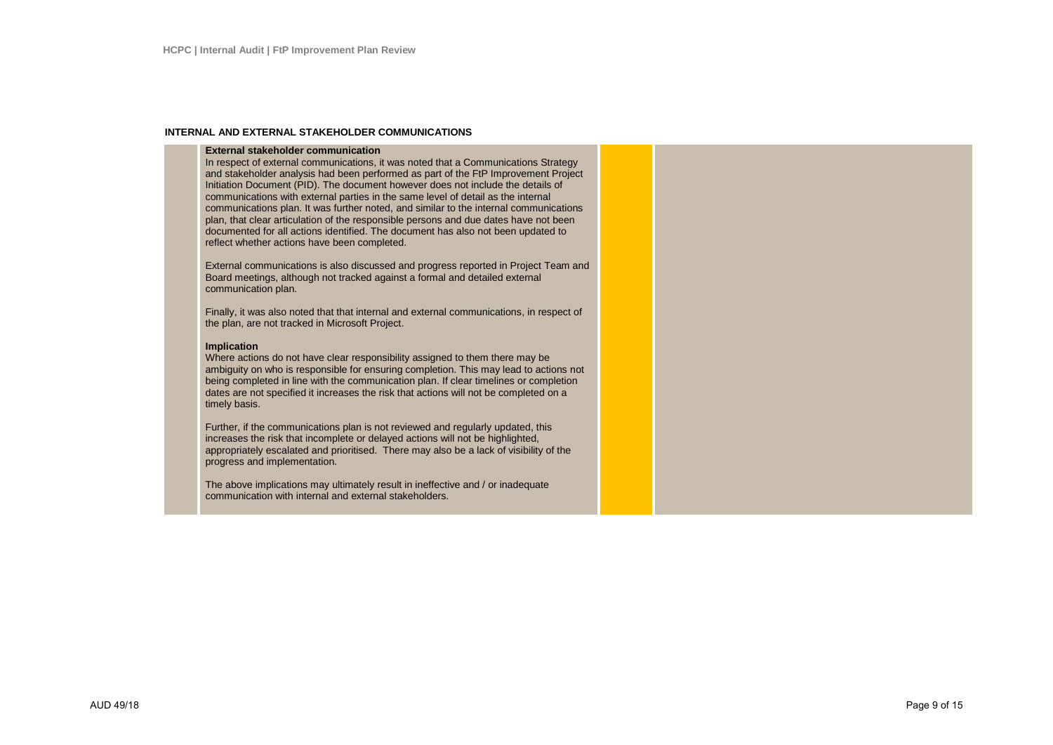#### **INTERNAL AND EXTERNAL STAKEHOLDER COMMUNICATIONS**

#### **External stakeholder communication**

In respect of external communications, it was noted that a Communications Strategy and stakeholder analysis had been performed as part of the FtP Improvement Project Initiation Document (PID). The document however does not include the details of communications with external parties in the same level of detail as the internal communications plan. It was further noted, and similar to the internal communications plan, that clear articulation of the responsible persons and due dates have not been documented for all actions identified. The document has also not been updated to reflect whether actions have been completed.

External communications is also discussed and progress reported in Project Team and Board meetings, although not tracked against a formal and detailed external communication plan.

Finally, it was also noted that that internal and external communications, in respect of the plan, are not tracked in Microsoft Project.

#### **Implication**

Where actions do not have clear responsibility assigned to them there may be ambiguity on who is responsible for ensuring completion. This may lead to actions not being completed in line with the communication plan. If clear timelines or completion dates are not specified it increases the risk that actions will not be completed on a timely basis.

Further, if the communications plan is not reviewed and regularly updated, this increases the risk that incomplete or delayed actions will not be highlighted, appropriately escalated and prioritised. There may also be a lack of visibility of the progress and implementation.

The above implications may ultimately result in ineffective and / or inadequate communication with internal and external stakeholders.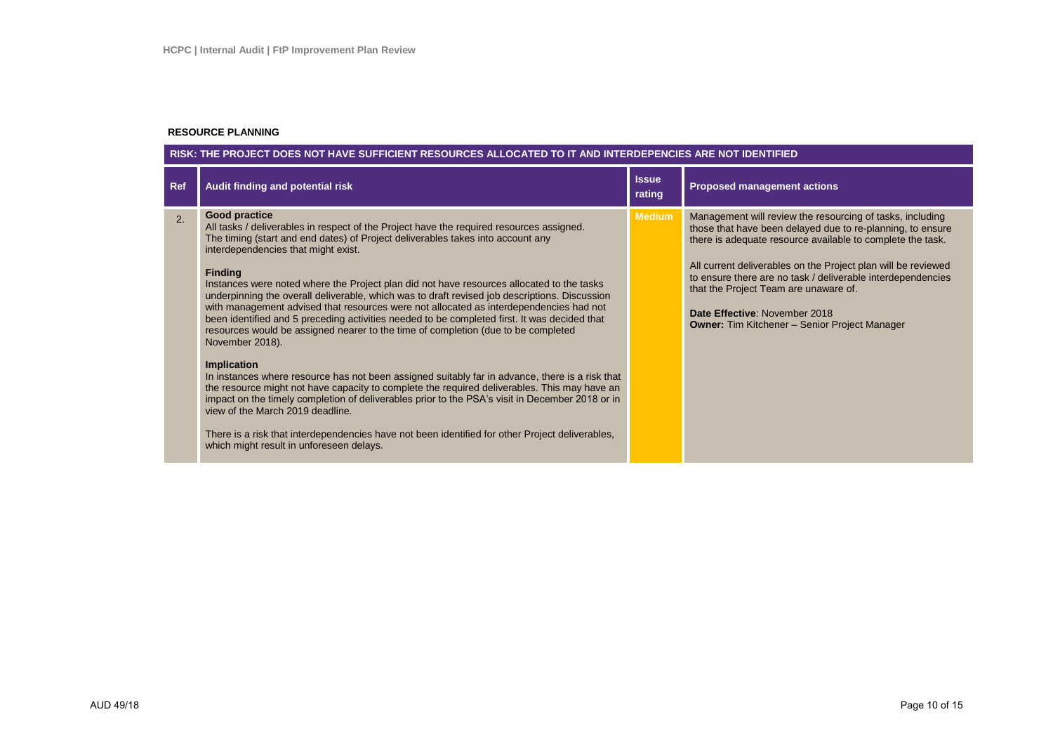#### **RESOURCE PLANNING**

### **RISK: THE PROJECT DOES NOT HAVE SUFFICIENT RESOURCES ALLOCATED TO IT AND INTERDEPENCIES ARE NOT IDENTIFIED**

| Ref | Audit finding and potential risk                                                                                                                                                                                                                                                                                                                                                                                                                                                                                                                                                                                                                                                                                                                                                                                                                                                                                                                                                                                                                                                                                                                                                                                                                                            | <b>Issue</b><br>rating | <b>Proposed management actions</b>                                                                                                                                                                                                                                                                                                                                                                                                                      |
|-----|-----------------------------------------------------------------------------------------------------------------------------------------------------------------------------------------------------------------------------------------------------------------------------------------------------------------------------------------------------------------------------------------------------------------------------------------------------------------------------------------------------------------------------------------------------------------------------------------------------------------------------------------------------------------------------------------------------------------------------------------------------------------------------------------------------------------------------------------------------------------------------------------------------------------------------------------------------------------------------------------------------------------------------------------------------------------------------------------------------------------------------------------------------------------------------------------------------------------------------------------------------------------------------|------------------------|---------------------------------------------------------------------------------------------------------------------------------------------------------------------------------------------------------------------------------------------------------------------------------------------------------------------------------------------------------------------------------------------------------------------------------------------------------|
| 2.  | <b>Good practice</b><br>All tasks / deliverables in respect of the Project have the required resources assigned.<br>The timing (start and end dates) of Project deliverables takes into account any<br>interdependencies that might exist.<br><b>Finding</b><br>Instances were noted where the Project plan did not have resources allocated to the tasks<br>underpinning the overall deliverable, which was to draft revised job descriptions. Discussion<br>with management advised that resources were not allocated as interdependencies had not<br>been identified and 5 preceding activities needed to be completed first. It was decided that<br>resources would be assigned nearer to the time of completion (due to be completed<br>November 2018).<br><b>Implication</b><br>In instances where resource has not been assigned suitably far in advance, there is a risk that<br>the resource might not have capacity to complete the required deliverables. This may have an<br>impact on the timely completion of deliverables prior to the PSA's visit in December 2018 or in<br>view of the March 2019 deadline.<br>There is a risk that interdependencies have not been identified for other Project deliverables,<br>which might result in unforeseen delays. | <b>Medium</b>          | Management will review the resourcing of tasks, including<br>those that have been delayed due to re-planning, to ensure<br>there is adequate resource available to complete the task.<br>All current deliverables on the Project plan will be reviewed<br>to ensure there are no task / deliverable interdependencies<br>that the Project Team are unaware of.<br>Date Effective: November 2018<br><b>Owner: Tim Kitchener - Senior Project Manager</b> |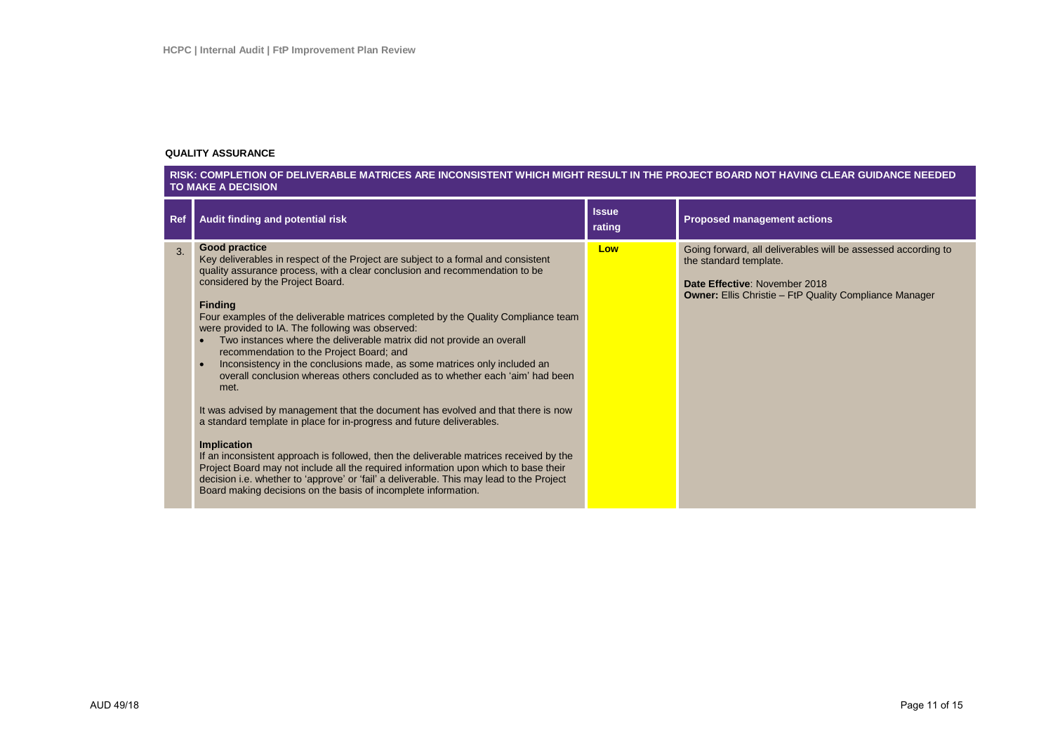#### **QUALITY ASSURANCE**

#### **RISK: COMPLETION OF DELIVERABLE MATRICES ARE INCONSISTENT WHICH MIGHT RESULT IN THE PROJECT BOARD NOT HAVING CLEAR GUIDANCE NEEDED TO MAKE A DECISION**

| <b>Ref</b> | Audit finding and potential risk                                                                                                                                                                                                                                                                                                                                                                                                                                                                                                                                                                                                                                                                                                                                                                                                                                                                                                                                                                                                                                                                                                                                                                                                               | <b>Issue</b><br>rating | <b>Proposed management actions</b>                                                                                                                                                        |
|------------|------------------------------------------------------------------------------------------------------------------------------------------------------------------------------------------------------------------------------------------------------------------------------------------------------------------------------------------------------------------------------------------------------------------------------------------------------------------------------------------------------------------------------------------------------------------------------------------------------------------------------------------------------------------------------------------------------------------------------------------------------------------------------------------------------------------------------------------------------------------------------------------------------------------------------------------------------------------------------------------------------------------------------------------------------------------------------------------------------------------------------------------------------------------------------------------------------------------------------------------------|------------------------|-------------------------------------------------------------------------------------------------------------------------------------------------------------------------------------------|
| 3.         | <b>Good practice</b><br>Key deliverables in respect of the Project are subject to a formal and consistent<br>quality assurance process, with a clear conclusion and recommendation to be<br>considered by the Project Board.<br><b>Finding</b><br>Four examples of the deliverable matrices completed by the Quality Compliance team<br>were provided to IA. The following was observed:<br>Two instances where the deliverable matrix did not provide an overall<br>$\bullet$<br>recommendation to the Project Board; and<br>Inconsistency in the conclusions made, as some matrices only included an<br>$\bullet$<br>overall conclusion whereas others concluded as to whether each 'aim' had been<br>met.<br>It was advised by management that the document has evolved and that there is now<br>a standard template in place for in-progress and future deliverables.<br><b>Implication</b><br>If an inconsistent approach is followed, then the deliverable matrices received by the<br>Project Board may not include all the required information upon which to base their<br>decision i.e. whether to 'approve' or 'fail' a deliverable. This may lead to the Project<br>Board making decisions on the basis of incomplete information. | Low                    | Going forward, all deliverables will be assessed according to<br>the standard template.<br>Date Effective: November 2018<br><b>Owner: Ellis Christie - FtP Quality Compliance Manager</b> |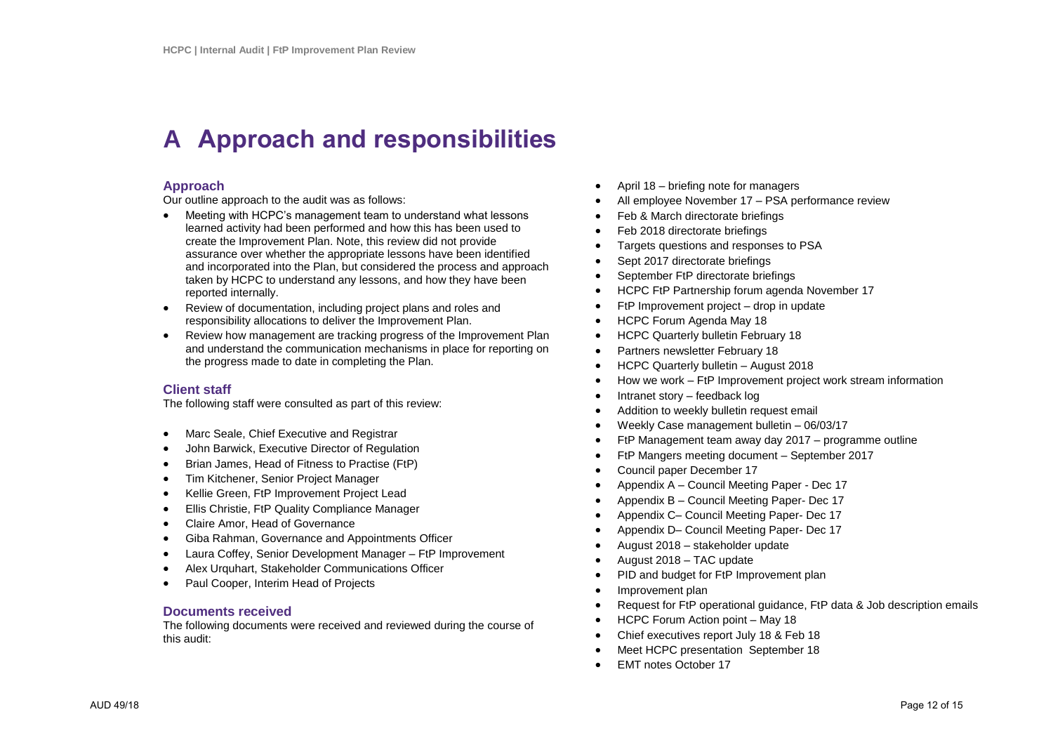## **A Approach and responsibilities**

## **Approach**

Our outline approach to the audit was as follows:

- Meeting with HCPC's management team to understand what lessons learned activity had been performed and how this has been used to create the Improvement Plan. Note, this review did not provide assurance over whether the appropriate lessons have been identified and incorporated into the Plan, but considered the process and approach taken by HCPC to understand any lessons, and how they have been reported internally.
- Review of documentation, including project plans and roles and responsibility allocations to deliver the Improvement Plan.
- Review how management are tracking progress of the Improvement Plan and understand the communication mechanisms in place for reporting on the progress made to date in completing the Plan.

### **Client staff**

The following staff were consulted as part of this review:

- Marc Seale, Chief Executive and Registrar
- John Barwick, Executive Director of Regulation
- Brian James, Head of Fitness to Practise (FtP)
- Tim Kitchener, Senior Project Manager
- Kellie Green, FtP Improvement Project Lead
- Ellis Christie, FtP Quality Compliance Manager
- Claire Amor, Head of Governance
- Giba Rahman, Governance and Appointments Officer
- Laura Coffey, Senior Development Manager FtP Improvement
- Alex Urquhart, Stakeholder Communications Officer
- Paul Cooper, Interim Head of Projects

### **Documents received**

The following documents were received and reviewed during the course of this audit:

- April 18 briefing note for managers
- All employee November 17 PSA performance review
- Feb & March directorate briefings
- Feb 2018 directorate briefings
- Targets questions and responses to PSA
- Sept 2017 directorate briefings
- September FtP directorate briefings
- HCPC FtP Partnership forum agenda November 17
- FtP Improvement project drop in update
- HCPC Forum Agenda May 18
- HCPC Quarterly bulletin February 18
- Partners newsletter February 18
- HCPC Quarterly bulletin August 2018
- How we work FtP Improvement project work stream information
- Intranet story feedback log
- Addition to weekly bulletin request email
- Weekly Case management bulletin 06/03/17
- FtP Management team away day 2017 programme outline
- FtP Mangers meeting document September 2017
- Council paper December 17
- Appendix A Council Meeting Paper Dec 17
- Appendix B Council Meeting Paper- Dec 17
- Appendix C– Council Meeting Paper- Dec 17
- Appendix D– Council Meeting Paper- Dec 17
- August 2018 stakeholder update
- August 2018 TAC update
- PID and budget for FtP Improvement plan
- Improvement plan
- Request for FtP operational guidance, FtP data & Job description emails
- HCPC Forum Action point May 18
- Chief executives report July 18 & Feb 18
- Meet HCPC presentation September 18
- EMT notes October 17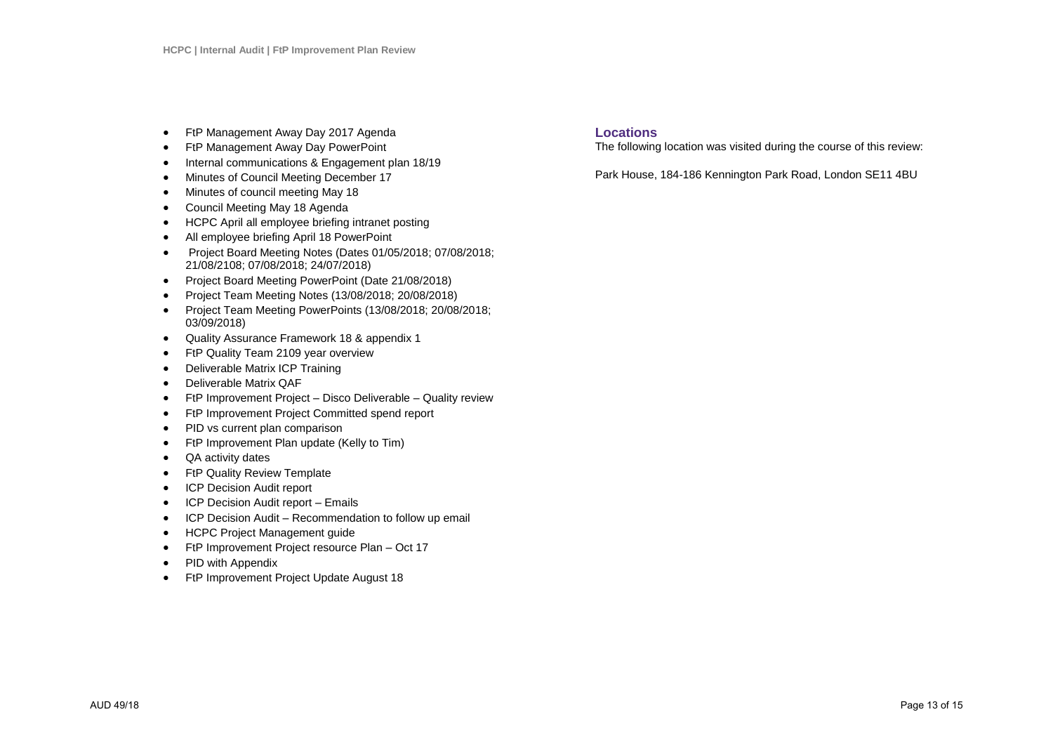- FtP Management Away Day 2017 Agenda
- FtP Management Away Day PowerPoint
- Internal communications & Engagement plan 18/19
- Minutes of Council Meeting December 17
- Minutes of council meeting May 18
- Council Meeting May 18 Agenda
- HCPC April all employee briefing intranet posting
- All employee briefing April 18 PowerPoint
- Project Board Meeting Notes (Dates 01/05/2018; 07/08/2018; 21/08/2108; 07/08/2018; 24/07/2018)
- Project Board Meeting PowerPoint (Date 21/08/2018)
- Project Team Meeting Notes (13/08/2018; 20/08/2018)
- Project Team Meeting PowerPoints (13/08/2018; 20/08/2018; 03/09/2018)
- Quality Assurance Framework 18 & appendix 1
- FtP Quality Team 2109 year overview
- Deliverable Matrix ICP Training
- Deliverable Matrix QAF
- FtP Improvement Project Disco Deliverable Quality review
- FtP Improvement Project Committed spend report
- PID vs current plan comparison
- FtP Improvement Plan update (Kelly to Tim)
- QA activity dates
- FtP Quality Review Template
- ICP Decision Audit report
- ICP Decision Audit report Emails
- ICP Decision Audit Recommendation to follow up email
- HCPC Project Management guide
- FtP Improvement Project resource Plan Oct 17
- PID with Appendix
- FtP Improvement Project Update August 18

## **Locations**

The following location was visited during the course of this review:

Park House, 184-186 Kennington Park Road, London SE11 4BU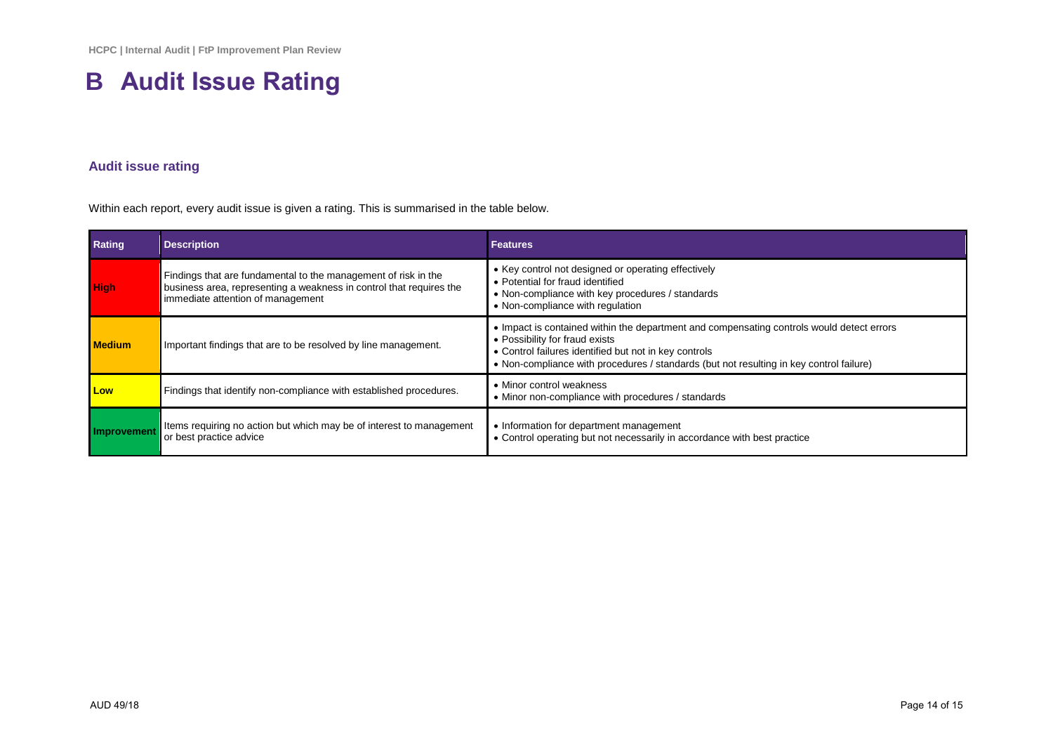# **B Audit Issue Rating**

## **Audit issue rating**

Within each report, every audit issue is given a rating. This is summarised in the table below.

| Rating        | <b>Description</b>                                                                                                                                                         | <b>Features</b>                                                                                                                                                                                                                                                                 |
|---------------|----------------------------------------------------------------------------------------------------------------------------------------------------------------------------|---------------------------------------------------------------------------------------------------------------------------------------------------------------------------------------------------------------------------------------------------------------------------------|
| <b>High</b>   | Findings that are fundamental to the management of risk in the<br>business area, representing a weakness in control that requires the<br>immediate attention of management | • Key control not designed or operating effectively<br>• Potential for fraud identified<br>• Non-compliance with key procedures / standards<br>• Non-compliance with regulation                                                                                                 |
| <b>Medium</b> | Important findings that are to be resolved by line management.                                                                                                             | • Impact is contained within the department and compensating controls would detect errors<br>• Possibility for fraud exists<br>• Control failures identified but not in key controls<br>. Non-compliance with procedures / standards (but not resulting in key control failure) |
| Low           | Findings that identify non-compliance with established procedures.                                                                                                         | • Minor control weakness<br>• Minor non-compliance with procedures / standards                                                                                                                                                                                                  |
| Improvement   | Items requiring no action but which may be of interest to management<br>or best practice advice                                                                            | • Information for department management<br>• Control operating but not necessarily in accordance with best practice                                                                                                                                                             |